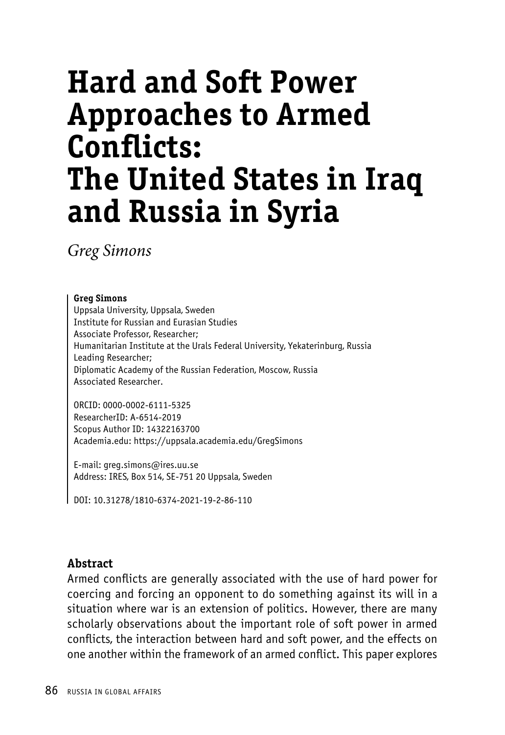# **Hard and Soft Power Approaches to Armed Conflicts: The United States in Iraq and Russia in Syria**

*Greg Simons*

#### **Greg Simons**

Uppsala University, Uppsala, Sweden Institute for Russian and Eurasian Studies Associate Professor, Researcher; Humanitarian Institute at the Urals Federal University, Yekaterinburg, Russia Leading Researcher; Diplomatic Academy of the Russian Federation, Moscow, Russia Associated Researcher.

ORCID: 0000-0002-6111-5325 ResearcherID: A-6514-2019 Scopus Author ID: 14322163700 Academia.edu: https://uppsala.academia.edu/GregSimons

E-mail: greg.simons@ires.uu.se Address: IRES, Box 514, SE-751 20 Uppsala, Sweden

DOI: 10.31278/1810-6374-2021-19-2-86-110

#### **Abstract**

Armed conflicts are generally associated with the use of hard power for coercing and forcing an opponent to do something against its will in a situation where war is an extension of politics. However, there are many scholarly observations about the important role of soft power in armed conflicts, the interaction between hard and soft power, and the effects on one another within the framework of an armed conflict. This paper explores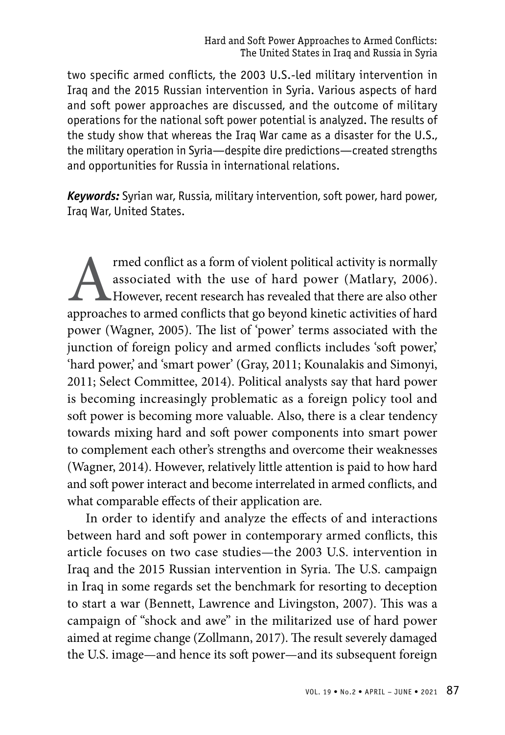two specific armed conflicts, the 2003 U.S.-led military intervention in Iraq and the 2015 Russian intervention in Syria. Various aspects of hard and soft power approaches are discussed, and the outcome of military operations for the national soft power potential is analyzed. The results of the study show that whereas the Iraq War came as a disaster for the U.S., the military operation in Syria—despite dire predictions—created strengths and opportunities for Russia in international relations.

*Keywords:* Syrian war, Russia, military intervention, soft power, hard power, Iraq War, United States.

rmed conflict as a form of violent political activity is normally associated with the use of hard power (Matlary, 2006).<br>However, recent research has revealed that there are also other approaches to armed conflicts that go associated with the use of hard power (Matlary, 2006). However, recent research has revealed that there are also other approaches to armed conflicts that go beyond kinetic activities of hard power (Wagner, 2005). The list of 'power' terms associated with the junction of foreign policy and armed conflicts includes 'soft power,' 'hard power,' and 'smart power' (Gray, 2011; Kounalakis and Simonyi, 2011; Select Committee, 2014). Political analysts say that hard power is becoming increasingly problematic as a foreign policy tool and soft power is becoming more valuable. Also, there is a clear tendency towards mixing hard and soft power components into smart power to complement each other's strengths and overcome their weaknesses (Wagner, 2014). However, relatively little attention is paid to how hard and soft power interact and become interrelated in armed conflicts, and what comparable effects of their application are.

In order to identify and analyze the effects of and interactions between hard and soft power in contemporary armed conflicts, this article focuses on two case studies—the 2003 U.S. intervention in Iraq and the 2015 Russian intervention in Syria. The U.S. campaign in Iraq in some regards set the benchmark for resorting to deception to start a war (Bennett, Lawrence and Livingston, 2007). This was a campaign of "shock and awe" in the militarized use of hard power aimed at regime change (Zollmann, 2017). The result severely damaged the U.S. image—and hence its soft power—and its subsequent foreign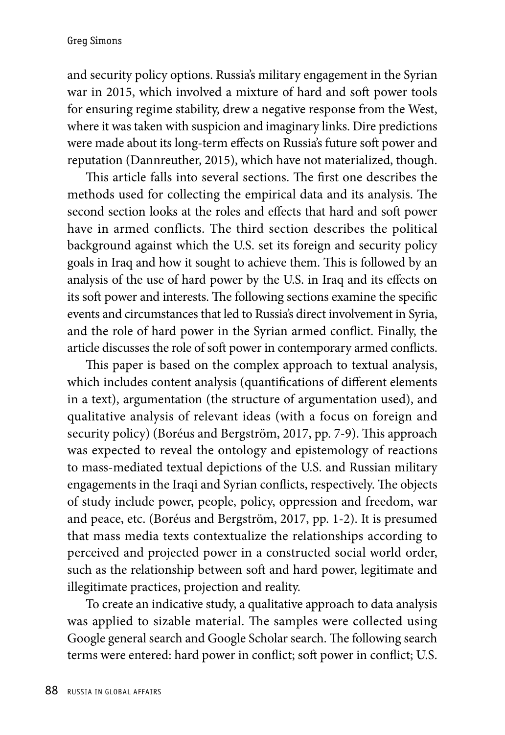and security policy options. Russia's military engagement in the Syrian war in 2015, which involved a mixture of hard and soft power tools for ensuring regime stability, drew a negative response from the West, where it was taken with suspicion and imaginary links. Dire predictions were made about its long-term effects on Russia's future soft power and reputation (Dannreuther, 2015), which have not materialized, though.

This article falls into several sections. The first one describes the methods used for collecting the empirical data and its analysis. The second section looks at the roles and effects that hard and soft power have in armed conflicts. The third section describes the political background against which the U.S. set its foreign and security policy goals in Iraq and how it sought to achieve them. This is followed by an analysis of the use of hard power by the U.S. in Iraq and its effects on its soft power and interests. The following sections examine the specific events and circumstances that led to Russia's direct involvement in Syria, and the role of hard power in the Syrian armed conflict. Finally, the article discusses the role of soft power in contemporary armed conflicts.

This paper is based on the complex approach to textual analysis, which includes content analysis (quantifications of different elements in a text), argumentation (the structure of argumentation used), and qualitative analysis of relevant ideas (with a focus on foreign and security policy) (Boréus and Bergström, 2017, pp. 7-9). This approach was expected to reveal the ontology and epistemology of reactions to mass-mediated textual depictions of the U.S. and Russian military engagements in the Iraqi and Syrian conflicts, respectively. The objects of study include power, people, policy, oppression and freedom, war and peace, etc. (Boréus and Bergström, 2017, pp. 1-2). It is presumed that mass media texts contextualize the relationships according to perceived and projected power in a constructed social world order, such as the relationship between soft and hard power, legitimate and illegitimate practices, projection and reality.

To create an indicative study, a qualitative approach to data analysis was applied to sizable material. The samples were collected using Google general search and Google Scholar search. The following search terms were entered: hard power in conflict; soft power in conflict; U.S.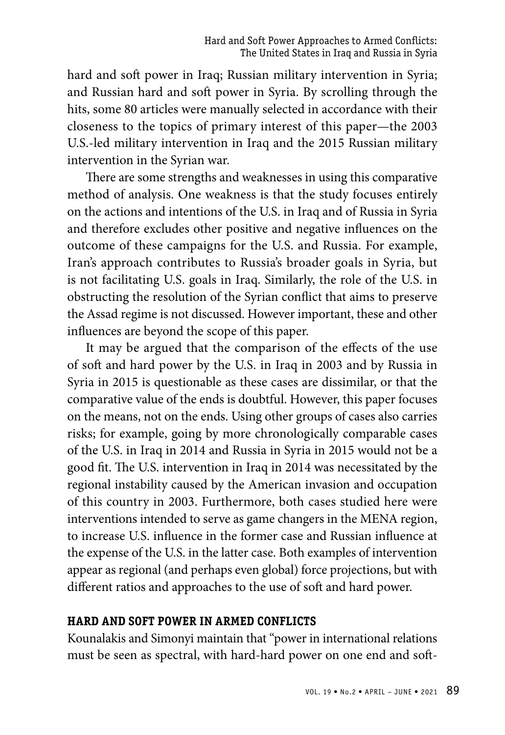hard and soft power in Iraq; Russian military intervention in Syria; and Russian hard and soft power in Syria. By scrolling through the hits, some 80 articles were manually selected in accordance with their closeness to the topics of primary interest of this paper—the 2003 U.S.-led military intervention in Iraq and the 2015 Russian military intervention in the Syrian war.

There are some strengths and weaknesses in using this comparative method of analysis. One weakness is that the study focuses entirely on the actions and intentions of the U.S. in Iraq and of Russia in Syria and therefore excludes other positive and negative influences on the outcome of these campaigns for the U.S. and Russia. For example, Iran's approach contributes to Russia's broader goals in Syria, but is not facilitating U.S. goals in Iraq. Similarly, the role of the U.S. in obstructing the resolution of the Syrian conflict that aims to preserve the Assad regime is not discussed. However important, these and other influences are beyond the scope of this paper.

It may be argued that the comparison of the effects of the use of soft and hard power by the U.S. in Iraq in 2003 and by Russia in Syria in 2015 is questionable as these cases are dissimilar, or that the comparative value of the ends is doubtful. However, this paper focuses on the means, not on the ends. Using other groups of cases also carries risks; for example, going by more chronologically comparable cases of the U.S. in Iraq in 2014 and Russia in Syria in 2015 would not be a good fit. The U.S. intervention in Iraq in 2014 was necessitated by the regional instability caused by the American invasion and occupation of this country in 2003. Furthermore, both cases studied here were interventions intended to serve as game changers in the MENA region, to increase U.S. influence in the former case and Russian influence at the expense of the U.S. in the latter case. Both examples of intervention appear as regional (and perhaps even global) force projections, but with different ratios and approaches to the use of soft and hard power.

#### **Hard and Soft Power in Armed Conflicts**

Kounalakis and Simonyi maintain that "power in international relations must be seen as spectral, with hard-hard power on one end and soft-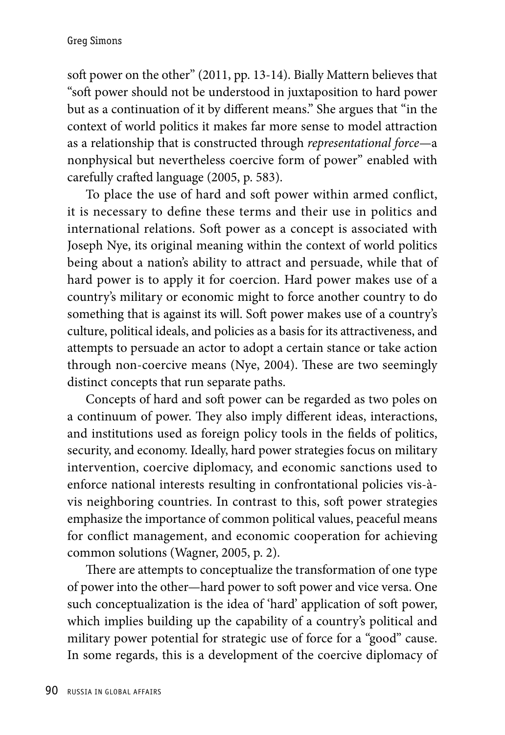soft power on the other" (2011, pp. 13-14). Bially Mattern believes that "soft power should not be understood in juxtaposition to hard power but as a continuation of it by different means." She argues that "in the context of world politics it makes far more sense to model attraction as a relationship that is constructed through *representational force*—a nonphysical but nevertheless coercive form of power" enabled with carefully crafted language (2005, p. 583).

To place the use of hard and soft power within armed conflict, it is necessary to define these terms and their use in politics and international relations. Soft power as a concept is associated with Joseph Nye, its original meaning within the context of world politics being about a nation's ability to attract and persuade, while that of hard power is to apply it for coercion. Hard power makes use of a country's military or economic might to force another country to do something that is against its will. Soft power makes use of a country's culture, political ideals, and policies as a basis for its attractiveness, and attempts to persuade an actor to adopt a certain stance or take action through non-coercive means (Nye, 2004). These are two seemingly distinct concepts that run separate paths.

Concepts of hard and soft power can be regarded as two poles on a continuum of power. They also imply different ideas, interactions, and institutions used as foreign policy tools in the fields of politics, security, and economy. Ideally, hard power strategies focus on military intervention, coercive diplomacy, and economic sanctions used to enforce national interests resulting in confrontational policies vis-àvis neighboring countries. In contrast to this, soft power strategies emphasize the importance of common political values, peaceful means for conflict management, and economic cooperation for achieving common solutions (Wagner, 2005, p. 2).

There are attempts to conceptualize the transformation of one type of power into the other—hard power to soft power and vice versa. One such conceptualization is the idea of 'hard' application of soft power, which implies building up the capability of a country's political and military power potential for strategic use of force for a "good" cause. In some regards, this is a development of the coercive diplomacy of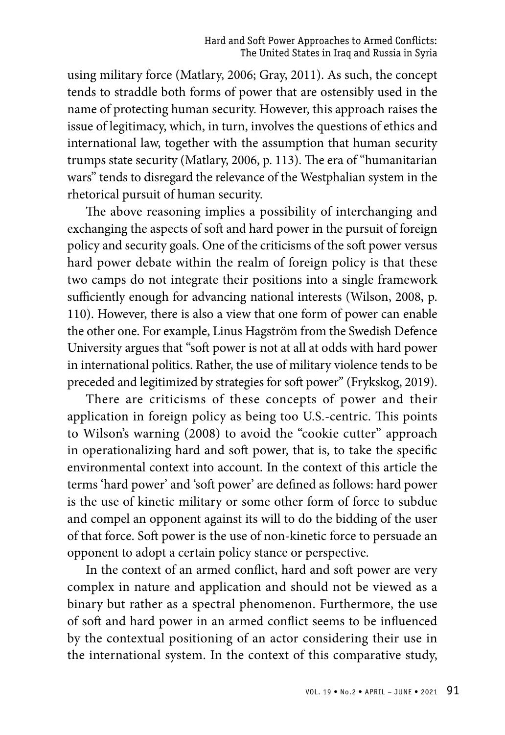using military force (Matlary, 2006; Gray, 2011). As such, the concept tends to straddle both forms of power that are ostensibly used in the name of protecting human security. However, this approach raises the issue of legitimacy, which, in turn, involves the questions of ethics and international law, together with the assumption that human security trumps state security (Matlary, 2006, p. 113). The era of "humanitarian wars" tends to disregard the relevance of the Westphalian system in the rhetorical pursuit of human security.

The above reasoning implies a possibility of interchanging and exchanging the aspects of soft and hard power in the pursuit of foreign policy and security goals. One of the criticisms of the soft power versus hard power debate within the realm of foreign policy is that these two camps do not integrate their positions into a single framework sufficiently enough for advancing national interests (Wilson, 2008, p. 110). However, there is also a view that one form of power can enable the other one. For example, Linus Hagström from the Swedish Defence University argues that "soft power is not at all at odds with hard power in international politics. Rather, the use of military violence tends to be preceded and legitimized by strategies for soft power" (Frykskog, 2019).

There are criticisms of these concepts of power and their application in foreign policy as being too U.S.-centric. This points to Wilson's warning (2008) to avoid the "cookie cutter" approach in operationalizing hard and soft power, that is, to take the specific environmental context into account. In the context of this article the terms 'hard power' and 'soft power' are defined as follows: hard power is the use of kinetic military or some other form of force to subdue and compel an opponent against its will to do the bidding of the user of that force. Soft power is the use of non-kinetic force to persuade an opponent to adopt a certain policy stance or perspective.

In the context of an armed conflict, hard and soft power are very complex in nature and application and should not be viewed as a binary but rather as a spectral phenomenon. Furthermore, the use of soft and hard power in an armed conflict seems to be influenced by the contextual positioning of an actor considering their use in the international system. In the context of this comparative study,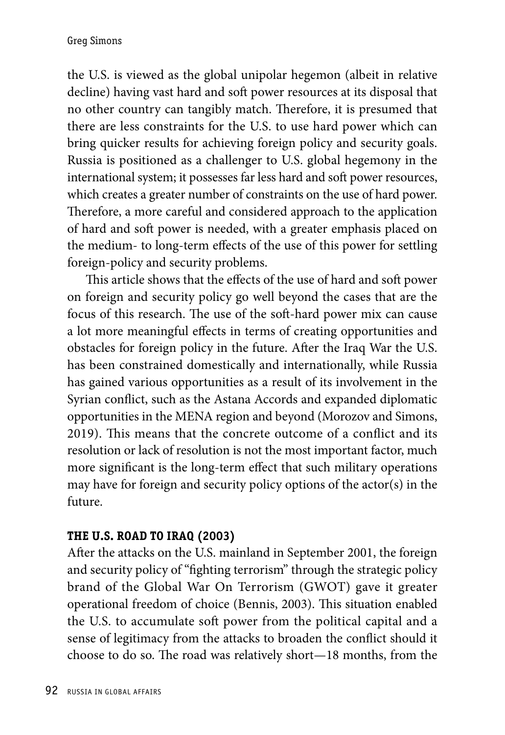the U.S. is viewed as the global unipolar hegemon (albeit in relative decline) having vast hard and soft power resources at its disposal that no other country can tangibly match. Therefore, it is presumed that there are less constraints for the U.S. to use hard power which can bring quicker results for achieving foreign policy and security goals. Russia is positioned as a challenger to U.S. global hegemony in the international system; it possesses far less hard and soft power resources, which creates a greater number of constraints on the use of hard power. Therefore, a more careful and considered approach to the application of hard and soft power is needed, with a greater emphasis placed on the medium- to long-term effects of the use of this power for settling foreign-policy and security problems.

This article shows that the effects of the use of hard and soft power on foreign and security policy go well beyond the cases that are the focus of this research. The use of the soft-hard power mix can cause a lot more meaningful effects in terms of creating opportunities and obstacles for foreign policy in the future. After the Iraq War the U.S. has been constrained domestically and internationally, while Russia has gained various opportunities as a result of its involvement in the Syrian conflict, such as the Astana Accords and expanded diplomatic opportunities in the MENA region and beyond (Morozov and Simons, 2019). This means that the concrete outcome of a conflict and its resolution or lack of resolution is not the most important factor, much more significant is the long-term effect that such military operations may have for foreign and security policy options of the actor(s) in the future.

## **The U.S. Road to Iraq (2003)**

After the attacks on the U.S. mainland in September 2001, the foreign and security policy of "fighting terrorism" through the strategic policy brand of the Global War On Terrorism (GWOT) gave it greater operational freedom of choice (Bennis, 2003). This situation enabled the U.S. to accumulate soft power from the political capital and a sense of legitimacy from the attacks to broaden the conflict should it choose to do so. The road was relatively short—18 months, from the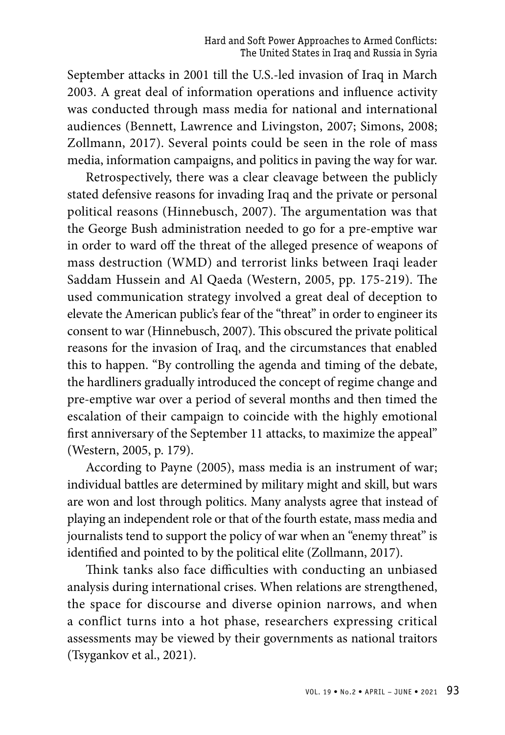September attacks in 2001 till the U.S.-led invasion of Iraq in March 2003. A great deal of information operations and influence activity was conducted through mass media for national and international audiences (Bennett, Lawrence and Livingston, 2007; Simons, 2008; Zollmann, 2017). Several points could be seen in the role of mass media, information campaigns, and politics in paving the way for war.

Retrospectively, there was a clear cleavage between the publicly stated defensive reasons for invading Iraq and the private or personal political reasons (Hinnebusch, 2007). The argumentation was that the George Bush administration needed to go for a pre-emptive war in order to ward off the threat of the alleged presence of weapons of mass destruction (WMD) and terrorist links between Iraqi leader Saddam Hussein and Al Qaeda (Western, 2005, pp. 175-219). The used communication strategy involved a great deal of deception to elevate the American public's fear of the "threat" in order to engineer its consent to war (Hinnebusch, 2007). This obscured the private political reasons for the invasion of Iraq, and the circumstances that enabled this to happen. "By controlling the agenda and timing of the debate, the hardliners gradually introduced the concept of regime change and pre-emptive war over a period of several months and then timed the escalation of their campaign to coincide with the highly emotional first anniversary of the September 11 attacks, to maximize the appeal" (Western, 2005, p. 179).

According to Payne (2005), mass media is an instrument of war; individual battles are determined by military might and skill, but wars are won and lost through politics. Many analysts agree that instead of playing an independent role or that of the fourth estate, mass media and journalists tend to support the policy of war when an "enemy threat" is identified and pointed to by the political elite (Zollmann, 2017).

Think tanks also face difficulties with conducting an unbiased analysis during international crises. When relations are strengthened, the space for discourse and diverse opinion narrows, and when a conflict turns into a hot phase, researchers expressing critical assessments may be viewed by their governments as national traitors (Tsygankov et al., 2021).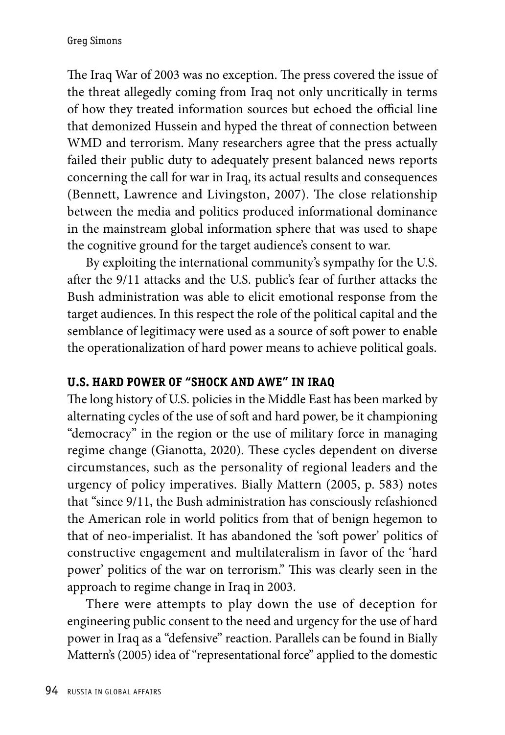The Iraq War of 2003 was no exception. The press covered the issue of the threat allegedly coming from Iraq not only uncritically in terms of how they treated information sources but echoed the official line that demonized Hussein and hyped the threat of connection between WMD and terrorism. Many researchers agree that the press actually failed their public duty to adequately present balanced news reports concerning the call for war in Iraq, its actual results and consequences (Bennett, Lawrence and Livingston, 2007). The close relationship between the media and politics produced informational dominance in the mainstream global information sphere that was used to shape the cognitive ground for the target audience's consent to war.

By exploiting the international community's sympathy for the U.S. after the 9/11 attacks and the U.S. public's fear of further attacks the Bush administration was able to elicit emotional response from the target audiences. In this respect the role of the political capital and the semblance of legitimacy were used as a source of soft power to enable the operationalization of hard power means to achieve political goals.

## **U.S. Hard Power of "Shock and Awe" in Iraq**

The long history of U.S. policies in the Middle East has been marked by alternating cycles of the use of soft and hard power, be it championing "democracy" in the region or the use of military force in managing regime change (Gianotta, 2020). These cycles dependent on diverse circumstances, such as the personality of regional leaders and the urgency of policy imperatives. Bially Mattern (2005, p. 583) notes that "since 9/11, the Bush administration has consciously refashioned the American role in world politics from that of benign hegemon to that of neo-imperialist. It has abandoned the 'soft power' politics of constructive engagement and multilateralism in favor of the 'hard power' politics of the war on terrorism." This was clearly seen in the approach to regime change in Iraq in 2003.

There were attempts to play down the use of deception for engineering public consent to the need and urgency for the use of hard power in Iraq as a "defensive" reaction. Parallels can be found in Bially Mattern's (2005) idea of "representational force" applied to the domestic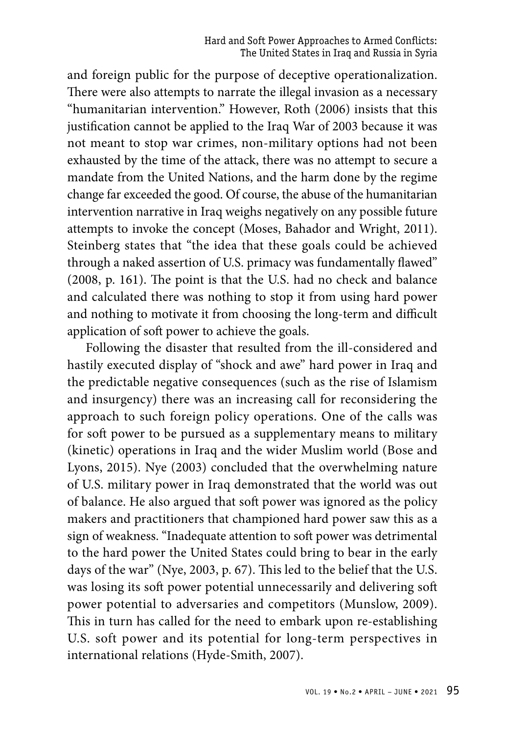and foreign public for the purpose of deceptive operationalization. There were also attempts to narrate the illegal invasion as a necessary "humanitarian intervention." However, Roth (2006) insists that this justification cannot be applied to the Iraq War of 2003 because it was not meant to stop war crimes, non-military options had not been exhausted by the time of the attack, there was no attempt to secure a mandate from the United Nations, and the harm done by the regime change far exceeded the good. Of course, the abuse of the humanitarian intervention narrative in Iraq weighs negatively on any possible future attempts to invoke the concept (Moses, Bahador and Wright, 2011). Steinberg states that "the idea that these goals could be achieved through a naked assertion of U.S. primacy was fundamentally flawed" (2008, p. 161). The point is that the U.S. had no check and balance and calculated there was nothing to stop it from using hard power and nothing to motivate it from choosing the long-term and difficult application of soft power to achieve the goals.

Following the disaster that resulted from the ill-considered and hastily executed display of "shock and awe" hard power in Iraq and the predictable negative consequences (such as the rise of Islamism and insurgency) there was an increasing call for reconsidering the approach to such foreign policy operations. One of the calls was for soft power to be pursued as a supplementary means to military (kinetic) operations in Iraq and the wider Muslim world (Bose and Lyons, 2015). Nye (2003) concluded that the overwhelming nature of U.S. military power in Iraq demonstrated that the world was out of balance. He also argued that soft power was ignored as the policy makers and practitioners that championed hard power saw this as a sign of weakness. "Inadequate attention to soft power was detrimental to the hard power the United States could bring to bear in the early days of the war" (Nye, 2003, p. 67). This led to the belief that the U.S. was losing its soft power potential unnecessarily and delivering soft power potential to adversaries and competitors (Munslow, 2009). This in turn has called for the need to embark upon re-establishing U.S. soft power and its potential for long-term perspectives in international relations (Hyde-Smith, 2007).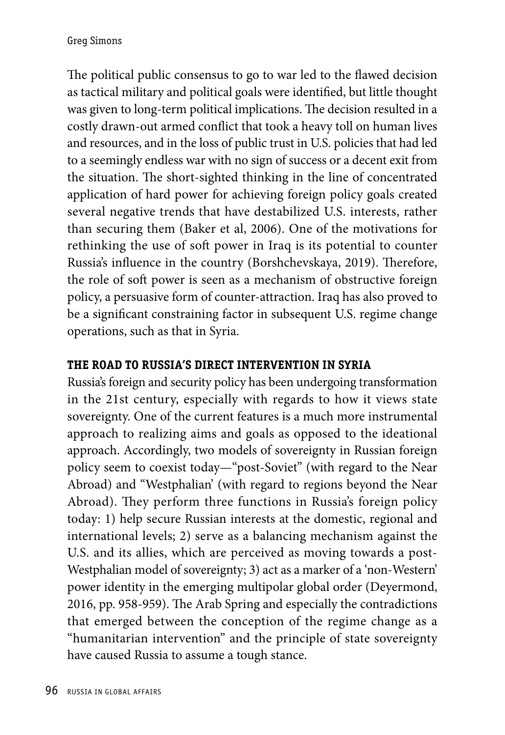The political public consensus to go to war led to the flawed decision as tactical military and political goals were identified, but little thought was given to long-term political implications. The decision resulted in a costly drawn-out armed conflict that took a heavy toll on human lives and resources, and in the loss of public trust in U.S. policies that had led to a seemingly endless war with no sign of success or a decent exit from the situation. The short-sighted thinking in the line of concentrated application of hard power for achieving foreign policy goals created several negative trends that have destabilized U.S. interests, rather than securing them (Baker et al, 2006). One of the motivations for rethinking the use of soft power in Iraq is its potential to counter Russia's influence in the country (Borshchevskaya, 2019). Therefore, the role of soft power is seen as a mechanism of obstructive foreign policy, a persuasive form of counter-attraction. Iraq has also proved to be a significant constraining factor in subsequent U.S. regime change operations, such as that in Syria.

## **The Road to Russia's direct Intervention in Syria**

Russia's foreign and security policy has been undergoing transformation in the 21st century, especially with regards to how it views state sovereignty. One of the current features is a much more instrumental approach to realizing aims and goals as opposed to the ideational approach. Accordingly, two models of sovereignty in Russian foreign policy seem to coexist today—"post-Soviet" (with regard to the Near Abroad) and "Westphalian' (with regard to regions beyond the Near Abroad). They perform three functions in Russia's foreign policy today: 1) help secure Russian interests at the domestic, regional and international levels; 2) serve as a balancing mechanism against the U.S. and its allies, which are perceived as moving towards a post-Westphalian model of sovereignty; 3) act as a marker of a 'non-Western' power identity in the emerging multipolar global order (Deyermond, 2016, pp. 958-959). The Arab Spring and especially the contradictions that emerged between the conception of the regime change as a "humanitarian intervention" and the principle of state sovereignty have caused Russia to assume a tough stance.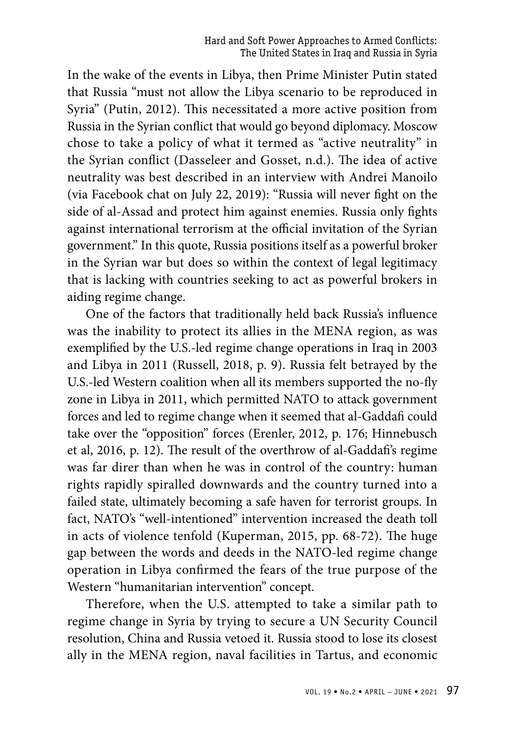In the wake of the events in Libya, then Prime Minister Putin stated that Russia "must not allow the Libya scenario to be reproduced in Syria" (Putin, 2012). This necessitated a more active position from Russia in the Syrian conflict that would go beyond diplomacy. Moscow chose to take a policy of what it termed as "active neutrality" in the Syrian conflict (Dasseleer and Gosset, n.d.). The idea of active neutrality was best described in an interview with Andrei Manoilo (via Facebook chat on July 22, 2019): "Russia will never fight on the side of al-Assad and protect him against enemies. Russia only fights against international terrorism at the official invitation of the Syrian government." In this quote, Russia positions itself as a powerful broker in the Syrian war but does so within the context of legal legitimacy that is lacking with countries seeking to act as powerful brokers in aiding regime change.

One of the factors that traditionally held back Russia's influence was the inability to protect its allies in the MENA region, as was exemplified by the U.S.-led regime change operations in Iraq in 2003 and Libya in 2011 (Russell, 2018, p. 9). Russia felt betrayed by the U.S.-led Western coalition when all its members supported the no-fly zone in Libya in 2011, which permitted NATO to attack government forces and led to regime change when it seemed that al-Gaddafi could take over the "opposition" forces (Erenler, 2012, p. 176; Hinnebusch et al, 2016, p. 12). The result of the overthrow of al-Gaddafi's regime was far direr than when he was in control of the country: human rights rapidly spiralled downwards and the country turned into a failed state, ultimately becoming a safe haven for terrorist groups. In fact, NATO's "well-intentioned" intervention increased the death toll in acts of violence tenfold (Kuperman, 2015, pp. 68-72). The huge gap between the words and deeds in the NATO-led regime change operation in Libya confirmed the fears of the true purpose of the Western "humanitarian intervention" concept.

Therefore, when the U.S. attempted to take a similar path to regime change in Syria by trying to secure a UN Security Council resolution, China and Russia vetoed it. Russia stood to lose its closest ally in the MENA region, naval facilities in Tartus, and economic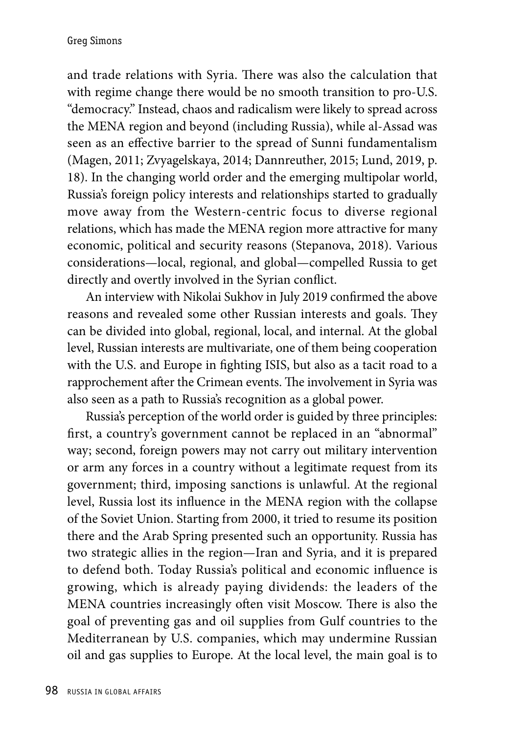and trade relations with Syria. There was also the calculation that with regime change there would be no smooth transition to pro-U.S. "democracy." Instead, chaos and radicalism were likely to spread across the MENA region and beyond (including Russia), while al-Assad was seen as an effective barrier to the spread of Sunni fundamentalism (Magen, 2011; Zvyagelskaya, 2014; Dannreuther, 2015; Lund, 2019, p. 18). In the changing world order and the emerging multipolar world, Russia's foreign policy interests and relationships started to gradually move away from the Western-centric focus to diverse regional relations, which has made the MENA region more attractive for many economic, political and security reasons (Stepanova, 2018). Various considerations—local, regional, and global—compelled Russia to get directly and overtly involved in the Syrian conflict.

An interview with Nikolai Sukhov in July 2019 confirmed the above reasons and revealed some other Russian interests and goals. They can be divided into global, regional, local, and internal. At the global level, Russian interests are multivariate, one of them being cooperation with the U.S. and Europe in fighting ISIS, but also as a tacit road to a rapprochement after the Crimean events. The involvement in Syria was also seen as a path to Russia's recognition as a global power.

Russia's perception of the world order is guided by three principles: first, a country's government cannot be replaced in an "abnormal" way; second, foreign powers may not carry out military intervention or arm any forces in a country without a legitimate request from its government; third, imposing sanctions is unlawful. At the regional level, Russia lost its influence in the MENA region with the collapse of the Soviet Union. Starting from 2000, it tried to resume its position there and the Arab Spring presented such an opportunity. Russia has two strategic allies in the region—Iran and Syria, and it is prepared to defend both. Today Russia's political and economic influence is growing, which is already paying dividends: the leaders of the MENA countries increasingly often visit Moscow. There is also the goal of preventing gas and oil supplies from Gulf countries to the Mediterranean by U.S. companies, which may undermine Russian oil and gas supplies to Europe. At the local level, the main goal is to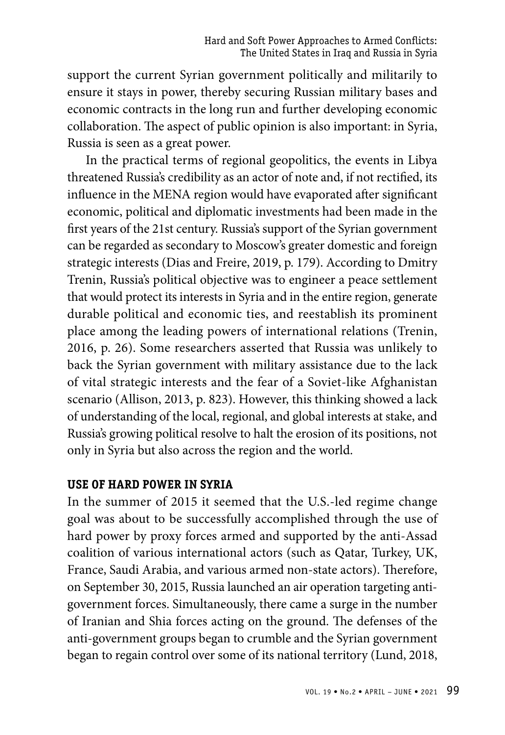support the current Syrian government politically and militarily to ensure it stays in power, thereby securing Russian military bases and economic contracts in the long run and further developing economic collaboration. The aspect of public opinion is also important: in Syria, Russia is seen as a great power.

In the practical terms of regional geopolitics, the events in Libya threatened Russia's credibility as an actor of note and, if not rectified, its influence in the MENA region would have evaporated after significant economic, political and diplomatic investments had been made in the first years of the 21st century. Russia's support of the Syrian government can be regarded as secondary to Moscow's greater domestic and foreign strategic interests (Dias and Freire, 2019, p. 179). According to Dmitry Trenin, Russia's political objective was to engineer a peace settlement that would protect its interests in Syria and in the entire region, generate durable political and economic ties, and reestablish its prominent place among the leading powers of international relations (Trenin, 2016, p. 26). Some researchers asserted that Russia was unlikely to back the Syrian government with military assistance due to the lack of vital strategic interests and the fear of a Soviet-like Afghanistan scenario (Allison, 2013, p. 823). However, this thinking showed a lack of understanding of the local, regional, and global interests at stake, and Russia's growing political resolve to halt the erosion of its positions, not only in Syria but also across the region and the world.

#### **Use of Hard Power in Syria**

In the summer of 2015 it seemed that the U.S.-led regime change goal was about to be successfully accomplished through the use of hard power by proxy forces armed and supported by the anti-Assad coalition of various international actors (such as Qatar, Turkey, UK, France, Saudi Arabia, and various armed non-state actors). Therefore, on September 30, 2015, Russia launched an air operation targeting antigovernment forces. Simultaneously, there came a surge in the number of Iranian and Shia forces acting on the ground. The defenses of the anti-government groups began to crumble and the Syrian government began to regain control over some of its national territory (Lund, 2018,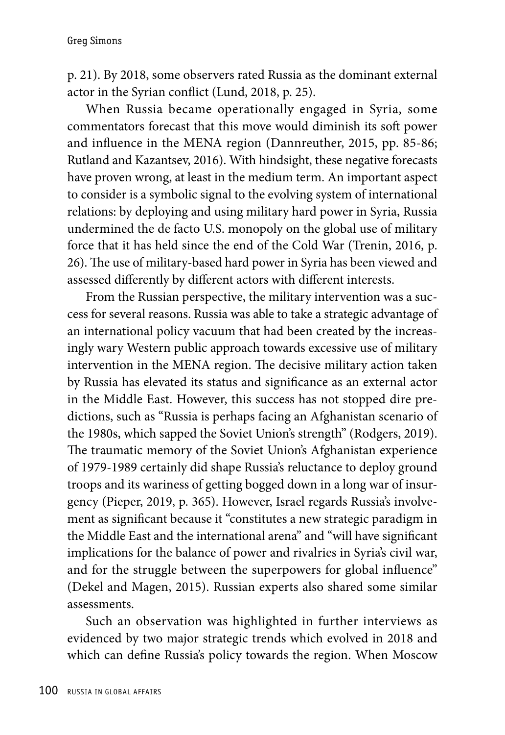p. 21). By 2018, some observers rated Russia as the dominant external actor in the Syrian conflict (Lund, 2018, p. 25).

When Russia became operationally engaged in Syria, some commentators forecast that this move would diminish its soft power and influence in the MENA region (Dannreuther, 2015, pp. 85-86; Rutland and Kazantsev, 2016). With hindsight, these negative forecasts have proven wrong, at least in the medium term. An important aspect to consider is a symbolic signal to the evolving system of international relations: by deploying and using military hard power in Syria, Russia undermined the de facto U.S. monopoly on the global use of military force that it has held since the end of the Cold War (Trenin, 2016, p. 26). The use of military-based hard power in Syria has been viewed and assessed differently by different actors with different interests.

From the Russian perspective, the military intervention was a success for several reasons. Russia was able to take a strategic advantage of an international policy vacuum that had been created by the increasingly wary Western public approach towards excessive use of military intervention in the MENA region. The decisive military action taken by Russia has elevated its status and significance as an external actor in the Middle East. However, this success has not stopped dire predictions, such as "Russia is perhaps facing an Afghanistan scenario of the 1980s, which sapped the Soviet Union's strength" (Rodgers, 2019). The traumatic memory of the Soviet Union's Afghanistan experience of 1979-1989 certainly did shape Russia's reluctance to deploy ground troops and its wariness of getting bogged down in a long war of insurgency (Pieper, 2019, p. 365). However, Israel regards Russia's involvement as significant because it "constitutes a new strategic paradigm in the Middle East and the international arena" and "will have significant implications for the balance of power and rivalries in Syria's civil war, and for the struggle between the superpowers for global influence" (Dekel and Magen, 2015). Russian experts also shared some similar assessments.

Such an observation was highlighted in further interviews as evidenced by two major strategic trends which evolved in 2018 and which can define Russia's policy towards the region. When Moscow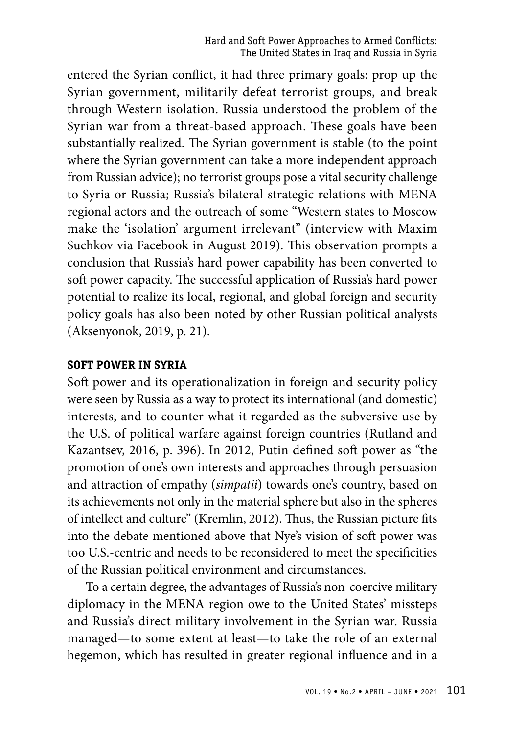entered the Syrian conflict, it had three primary goals: prop up the Syrian government, militarily defeat terrorist groups, and break through Western isolation. Russia understood the problem of the Syrian war from a threat-based approach. These goals have been substantially realized. The Syrian government is stable (to the point where the Syrian government can take a more independent approach from Russian advice); no terrorist groups pose a vital security challenge to Syria or Russia; Russia's bilateral strategic relations with MENA regional actors and the outreach of some "Western states to Moscow make the 'isolation' argument irrelevant" (interview with Maxim Suchkov via Facebook in August 2019). This observation prompts a conclusion that Russia's hard power capability has been converted to soft power capacity. The successful application of Russia's hard power potential to realize its local, regional, and global foreign and security policy goals has also been noted by other Russian political analysts (Aksenyonok, 2019, p. 21).

#### **Soft Power in Syria**

Soft power and its operationalization in foreign and security policy were seen by Russia as a way to protect its international (and domestic) interests, and to counter what it regarded as the subversive use by the U.S. of political warfare against foreign countries (Rutland and Kazantsev, 2016, p. 396). In 2012, Putin defined soft power as "the promotion of one's own interests and approaches through persuasion and attraction of empathy (*simpatii*) towards one's country, based on its achievements not only in the material sphere but also in the spheres of intellect and culture" (Kremlin, 2012). Thus, the Russian picture fits into the debate mentioned above that Nye's vision of soft power was too U.S.-centric and needs to be reconsidered to meet the specificities of the Russian political environment and circumstances.

To a certain degree, the advantages of Russia's non-coercive military diplomacy in the MENA region owe to the United States' missteps and Russia's direct military involvement in the Syrian war. Russia managed—to some extent at least—to take the role of an external hegemon, which has resulted in greater regional influence and in a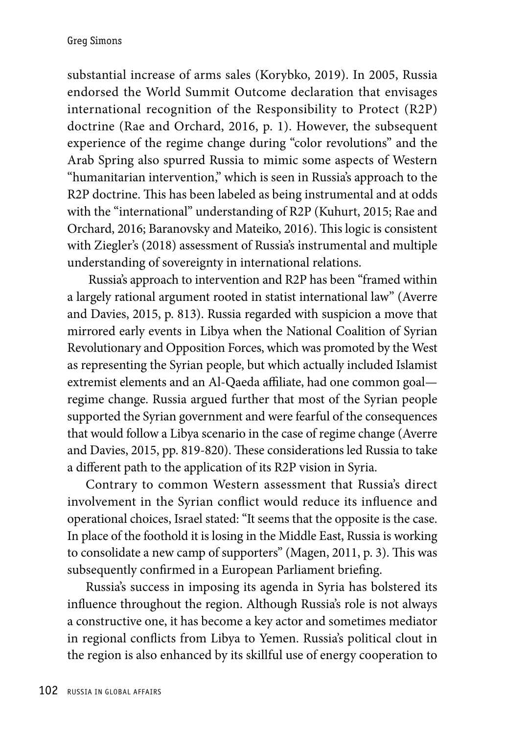substantial increase of arms sales (Korybko, 2019). In 2005, Russia endorsed the World Summit Outcome declaration that envisages international recognition of the Responsibility to Protect (R2P) doctrine (Rae and Orchard, 2016, p. 1). However, the subsequent experience of the regime change during "color revolutions" and the Arab Spring also spurred Russia to mimic some aspects of Western "humanitarian intervention," which is seen in Russia's approach to the R2P doctrine. This has been labeled as being instrumental and at odds with the "international" understanding of R2P (Kuhurt, 2015; Rae and Orchard, 2016; Baranovsky and Mateiko, 2016). This logic is consistent with Ziegler's (2018) assessment of Russia's instrumental and multiple understanding of sovereignty in international relations.

 Russia's approach to intervention and R2P has been "framed within a largely rational argument rooted in statist international law" (Averre and Davies, 2015, p. 813). Russia regarded with suspicion a move that mirrored early events in Libya when the National Coalition of Syrian Revolutionary and Opposition Forces, which was promoted by the West as representing the Syrian people, but which actually included Islamist extremist elements and an Al-Qaeda affiliate, had one common goal regime change. Russia argued further that most of the Syrian people supported the Syrian government and were fearful of the consequences that would follow a Libya scenario in the case of regime change (Averre and Davies, 2015, pp. 819-820). These considerations led Russia to take a different path to the application of its R2P vision in Syria.

Contrary to common Western assessment that Russia's direct involvement in the Syrian conflict would reduce its influence and operational choices, Israel stated: "It seems that the opposite is the case. In place of the foothold it is losing in the Middle East, Russia is working to consolidate a new camp of supporters" (Magen, 2011, p. 3). This was subsequently confirmed in a European Parliament briefing.

Russia's success in imposing its agenda in Syria has bolstered its influence throughout the region. Although Russia's role is not always a constructive one, it has become a key actor and sometimes mediator in regional conflicts from Libya to Yemen. Russia's political clout in the region is also enhanced by its skillful use of energy cooperation to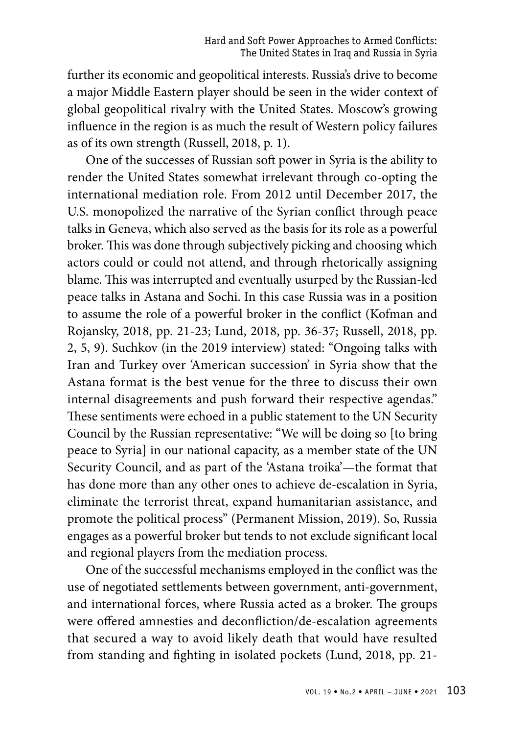further its economic and geopolitical interests. Russia's drive to become a major Middle Eastern player should be seen in the wider context of global geopolitical rivalry with the United States. Moscow's growing influence in the region is as much the result of Western policy failures as of its own strength (Russell, 2018, p. 1).

One of the successes of Russian soft power in Syria is the ability to render the United States somewhat irrelevant through co-opting the international mediation role. From 2012 until December 2017, the U.S. monopolized the narrative of the Syrian conflict through peace talks in Geneva, which also served as the basis for its role as a powerful broker. This was done through subjectively picking and choosing which actors could or could not attend, and through rhetorically assigning blame. This was interrupted and eventually usurped by the Russian-led peace talks in Astana and Sochi. In this case Russia was in a position to assume the role of a powerful broker in the conflict (Kofman and Rojansky, 2018, pp. 21-23; Lund, 2018, pp. 36-37; Russell, 2018, pp. 2, 5, 9). Suchkov (in the 2019 interview) stated: "Ongoing talks with Iran and Turkey over 'American succession' in Syria show that the Astana format is the best venue for the three to discuss their own internal disagreements and push forward their respective agendas." These sentiments were echoed in a public statement to the UN Security Council by the Russian representative: "We will be doing so [to bring peace to Syria] in our national capacity, as a member state of the UN Security Council, and as part of the 'Astana troika'—the format that has done more than any other ones to achieve de-escalation in Syria, eliminate the terrorist threat, expand humanitarian assistance, and promote the political process" (Permanent Mission, 2019). So, Russia engages as a powerful broker but tends to not exclude significant local and regional players from the mediation process.

One of the successful mechanisms employed in the conflict was the use of negotiated settlements between government, anti-government, and international forces, where Russia acted as a broker. The groups were offered amnesties and deconfliction/de-escalation agreements that secured a way to avoid likely death that would have resulted from standing and fighting in isolated pockets (Lund, 2018, pp. 21-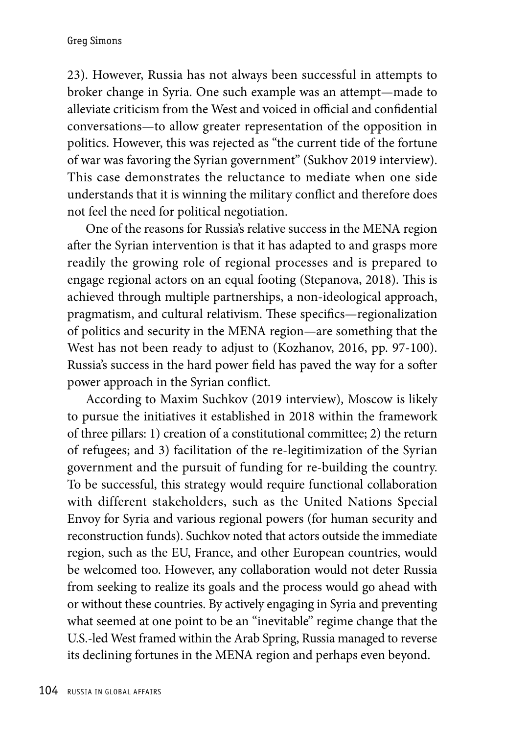23). However, Russia has not always been successful in attempts to broker change in Syria. One such example was an attempt—made to alleviate criticism from the West and voiced in official and confidential conversations—to allow greater representation of the opposition in politics. However, this was rejected as "the current tide of the fortune of war was favoring the Syrian government" (Sukhov 2019 interview). This case demonstrates the reluctance to mediate when one side understands that it is winning the military conflict and therefore does not feel the need for political negotiation.

One of the reasons for Russia's relative success in the MENA region after the Syrian intervention is that it has adapted to and grasps more readily the growing role of regional processes and is prepared to engage regional actors on an equal footing (Stepanova, 2018). This is achieved through multiple partnerships, a non-ideological approach, pragmatism, and cultural relativism. These specifics—regionalization of politics and security in the MENA region—are something that the West has not been ready to adjust to (Kozhanov, 2016, pp. 97-100). Russia's success in the hard power field has paved the way for a softer power approach in the Syrian conflict.

According to Maxim Suchkov (2019 interview), Moscow is likely to pursue the initiatives it established in 2018 within the framework of three pillars: 1) creation of a constitutional committee; 2) the return of refugees; and 3) facilitation of the re-legitimization of the Syrian government and the pursuit of funding for re-building the country. To be successful, this strategy would require functional collaboration with different stakeholders, such as the United Nations Special Envoy for Syria and various regional powers (for human security and reconstruction funds). Suchkov noted that actors outside the immediate region, such as the EU, France, and other European countries, would be welcomed too. However, any collaboration would not deter Russia from seeking to realize its goals and the process would go ahead with or without these countries. By actively engaging in Syria and preventing what seemed at one point to be an "inevitable" regime change that the U.S.-led West framed within the Arab Spring, Russia managed to reverse its declining fortunes in the MENA region and perhaps even beyond.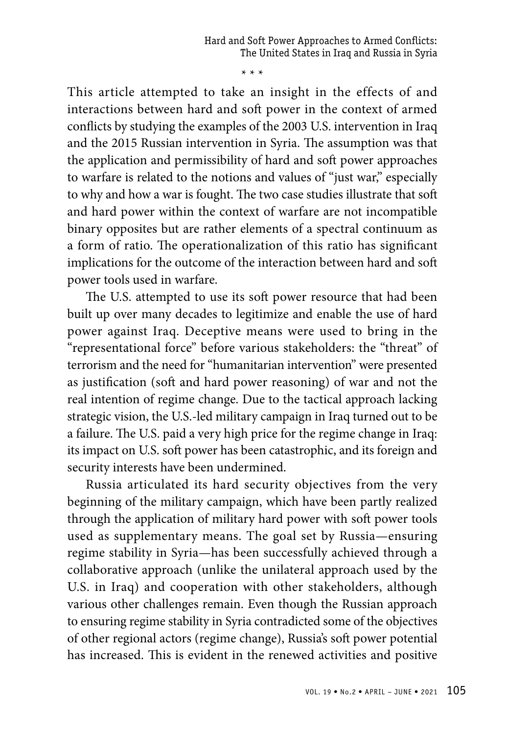\* \* \*

This article attempted to take an insight in the effects of and interactions between hard and soft power in the context of armed conflicts by studying the examples of the 2003 U.S. intervention in Iraq and the 2015 Russian intervention in Syria. The assumption was that the application and permissibility of hard and soft power approaches to warfare is related to the notions and values of "just war," especially to why and how a war is fought. The two case studies illustrate that soft and hard power within the context of warfare are not incompatible binary opposites but are rather elements of a spectral continuum as a form of ratio. The operationalization of this ratio has significant implications for the outcome of the interaction between hard and soft power tools used in warfare.

The U.S. attempted to use its soft power resource that had been built up over many decades to legitimize and enable the use of hard power against Iraq. Deceptive means were used to bring in the "representational force" before various stakeholders: the "threat" of terrorism and the need for "humanitarian intervention" were presented as justification (soft and hard power reasoning) of war and not the real intention of regime change. Due to the tactical approach lacking strategic vision, the U.S.-led military campaign in Iraq turned out to be a failure. The U.S. paid a very high price for the regime change in Iraq: its impact on U.S. soft power has been catastrophic, and its foreign and security interests have been undermined.

Russia articulated its hard security objectives from the very beginning of the military campaign, which have been partly realized through the application of military hard power with soft power tools used as supplementary means. The goal set by Russia—ensuring regime stability in Syria—has been successfully achieved through a collaborative approach (unlike the unilateral approach used by the U.S. in Iraq) and cooperation with other stakeholders, although various other challenges remain. Even though the Russian approach to ensuring regime stability in Syria contradicted some of the objectives of other regional actors (regime change), Russia's soft power potential has increased. This is evident in the renewed activities and positive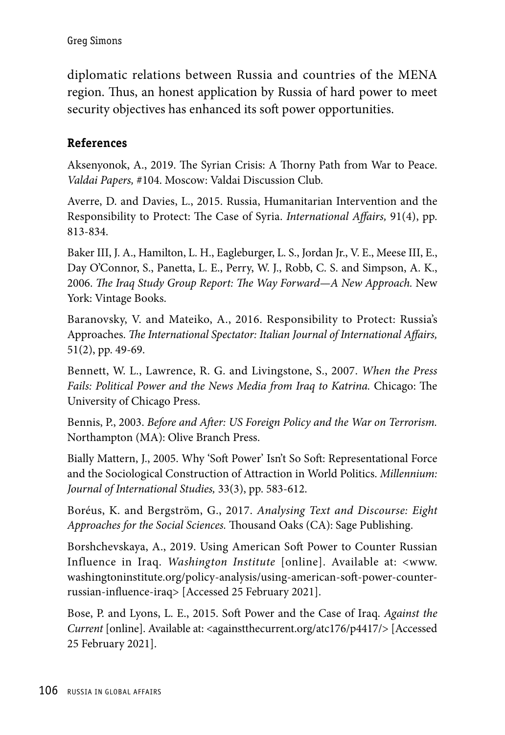diplomatic relations between Russia and countries of the MENA region. Thus, an honest application by Russia of hard power to meet security objectives has enhanced its soft power opportunities.

### **References**

Aksenyonok, A., 2019. The Syrian Crisis: A Thorny Path from War to Peace. *Valdai Papers,* #104. Moscow: Valdai Discussion Club.

Averre, D. and Davies, L., 2015. Russia, Humanitarian Intervention and the Responsibility to Protect: The Case of Syria. *International Affairs,* 91(4), pp. 813-834.

Baker III, J. A., Hamilton, L. H., Eagleburger, L. S., Jordan Jr., V. E., Meese III, E., Day O'Connor, S., Panetta, L. E., Perry, W. J., Robb, C. S. and Simpson, A. K., 2006. *The Iraq Study Group Report: The Way Forward—A New Approach.* New York: Vintage Books.

Baranovsky, V. and Mateiko, A., 2016. Responsibility to Protect: Russia's Approaches. *The International Spectator: Italian Journal of International Affairs,* 51(2), pp. 49-69.

Bennett, W. L., Lawrence, R. G. and Livingstone, S., 2007. *When the Press Fails: Political Power and the News Media from Iraq to Katrina.* Chicago: The University of Chicago Press.

Bennis, P., 2003. *Before and After: US Foreign Policy and the War on Terrorism.* Northampton (MA): Olive Branch Press.

Bially Mattern, J., 2005. Why 'Soft Power' Isn't So Soft: Representational Force and the Sociological Construction of Attraction in World Politics. *Millennium: Journal of International Studies,* 33(3), pp. 583-612.

Boréus, K. and Bergström, G., 2017. *Analysing Text and Discourse: Eight Approaches for the Social Sciences.* Thousand Oaks (CA): Sage Publishing.

Borshchevskaya, A., 2019. Using American Soft Power to Counter Russian Influence in Iraq. *Washington Institute* [online]. Available at: <www. washingtoninstitute.org/policy-analysis/using-american-soft-power-counterrussian-influence-iraq> [Accessed 25 February 2021].

Bose, P. and Lyons, L. E., 2015. Soft Power and the Case of Iraq. *Against the Current* [online]. Available at: <againstthecurrent.org/atc176/p4417/> [Accessed] 25 February 2021].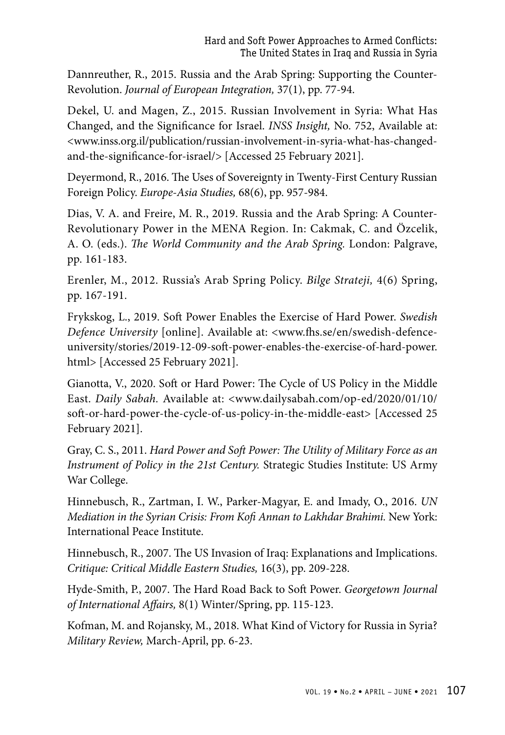Dannreuther, R., 2015. Russia and the Arab Spring: Supporting the Counter-Revolution. *Journal of European Integration,* 37(1), pp. 77-94.

Dekel, U. and Magen, Z., 2015. Russian Involvement in Syria: What Has Changed, and the Significance for Israel. *INSS Insight,* No. 752, Available at: <www.inss.org.il/publication/russian-involvement-in-syria-what-has-changedand-the-significance-for-israel/> [Accessed 25 February 2021].

Deyermond, R., 2016. The Uses of Sovereignty in Twenty-First Century Russian Foreign Policy. *Europe-Asia Studies,* 68(6), pp. 957-984.

Dias, V. A. and Freire, M. R., 2019. Russia and the Arab Spring: A Counter-Revolutionary Power in the MENA Region. In: Cakmak, C. and Özcelik, A. O. (eds.). *The World Community and the Arab Spring.* London: Palgrave, pp. 161-183.

Erenler, M., 2012. Russia's Arab Spring Policy. *Bilge Strateji,* 4(6) Spring, pp. 167-191.

Frykskog, L., 2019. Soft Power Enables the Exercise of Hard Power. *Swedish Defence University* [online]. Available at: <www.fhs.se/en/swedish-defenceuniversity/stories/2019-12-09-soft-power-enables-the-exercise-of-hard-power. html> [Accessed 25 February 2021].

Gianotta, V., 2020. Soft or Hard Power: The Cycle of US Policy in the Middle East. *Daily Sabah.* Available at: <www.dailysabah.com/op-ed/2020/01/10/ soft-or-hard-power-the-cycle-of-us-policy-in-the-middle-east> [Accessed 25 February 2021].

Gray, C. S., 2011. *Hard Power and Soft Power: The Utility of Military Force as an Instrument of Policy in the 21st Century.* Strategic Studies Institute: US Army War College.

Hinnebusch, R., Zartman, I. W., Parker-Magyar, E. and Imady, O., 2016. *UN Mediation in the Syrian Crisis: From Kofi Annan to Lakhdar Brahimi.* New York: International Peace Institute.

Hinnebusch, R., 2007. The US Invasion of Iraq: Explanations and Implications. *Critique: Critical Middle Eastern Studies,* 16(3), pp. 209-228.

Hyde-Smith, P., 2007. The Hard Road Back to Soft Power. *Georgetown Journal of International Affairs,* 8(1) Winter/Spring, pp. 115-123.

Kofman, M. and Rojansky, M., 2018. What Kind of Victory for Russia in Syria? *Military Review,* March-April, pp. 6-23.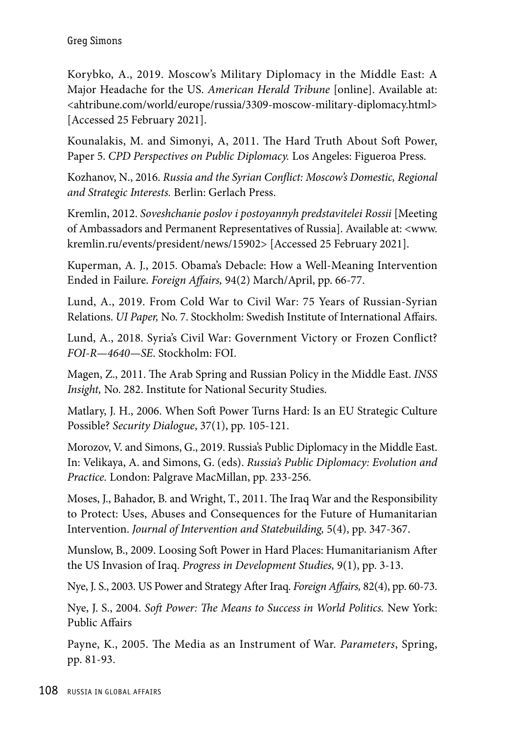Korybko, A., 2019. Moscow's Military Diplomacy in the Middle East: A Major Headache for the US. *American Herald Tribune* [online]. Available at: <ahtribune.com/world/europe/russia/3309-moscow-military-diplomacy.html> [Accessed 25 February 2021].

Kounalakis, M. and Simonyi, A, 2011. The Hard Truth About Soft Power, Paper 5. *CPD Perspectives on Public Diplomacy.* Los Angeles: Figueroa Press.

Kozhanov, N., 2016. *Russia and the Syrian Conflict: Moscow's Domestic, Regional and Strategic Interests.* Berlin: Gerlach Press.

Kremlin, 2012. *Soveshchanie poslov i postoyannyh predstavitelei Rossii* [Meeting of Ambassadors and Permanent Representatives of Russia]. Available at: <www. kremlin.ru/events/president/news/15902> [Accessed 25 February 2021].

Kuperman, A. J., 2015. Obama's Debacle: How a Well-Meaning Intervention Ended in Failure. *Foreign Affairs,* 94(2) March/April, pp. 66-77.

Lund, A., 2019. From Cold War to Civil War: 75 Years of Russian-Syrian Relations. *UI Paper,* No. 7. Stockholm: Swedish Institute of International Affairs.

Lund, A., 2018. Syria's Civil War: Government Victory or Frozen Conflict? *FOI-R—4640—SE*. Stockholm: FOI.

Magen, Z., 2011. The Arab Spring and Russian Policy in the Middle East. *INSS Insight,* No. 282. Institute for National Security Studies.

Matlary, J. H., 2006. When Soft Power Turns Hard: Is an EU Strategic Culture Possible? *Security Dialogue*, 37(1), pp. 105-121.

Morozov, V. and Simons, G., 2019. Russia's Public Diplomacy in the Middle East. In: Velikaya, A. and Simons, G. (eds). *Russia's Public Diplomacy: Evolution and Practice.* London: Palgrave MacMillan, pp. 233-256.

Moses, J., Bahador, B. and Wright, T., 2011. The Iraq War and the Responsibility to Protect: Uses, Abuses and Consequences for the Future of Humanitarian Intervention. *Journal of Intervention and Statebuilding,* 5(4), pp. 347-367.

Munslow, B., 2009. Loosing Soft Power in Hard Places: Humanitarianism After the US Invasion of Iraq. *Progress in Development Studies,* 9(1), pp. 3-13.

Nye, J. S., 2003. US Power and Strategy After Iraq. *Foreign Affairs,* 82(4), pp. 60-73.

Nye, J. S., 2004. *Soft Power: The Means to Success in World Politics.* New York: Public Affairs

Payne, K., 2005. The Media as an Instrument of War. *Parameters*, Spring, pp. 81-93.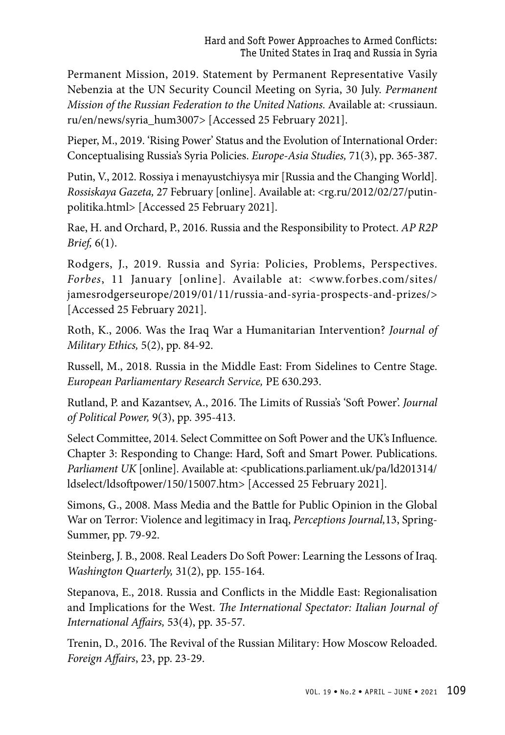Permanent Mission, 2019. Statement by Permanent Representative Vasily Nebenzia at the UN Security Council Meeting on Syria, 30 July. *Permanent Mission of the Russian Federation to the United Nations.* Available at: <russiaun. ru/en/news/syria\_hum3007> [Accessed 25 February 2021].

Pieper, M., 2019. 'Rising Power' Status and the Evolution of International Order: Conceptualising Russia's Syria Policies. *Europe-Asia Studies,* 71(3), pp. 365-387.

Putin, V., 2012. Rossiya i menayustchiysya mir [Russia and the Changing World]. *Rossiskaya Gazeta,* 27 February [online]. Available at: <rg.ru/2012/02/27/putinpolitika.html> [Accessed 25 February 2021].

Rae, H. and Orchard, P., 2016. Russia and the Responsibility to Protect. *AP R2P Brief,* 6(1).

Rodgers, J., 2019. Russia and Syria: Policies, Problems, Perspectives. *Forbes*, 11 January [online]. Available at: <www.forbes.com/sites/ jamesrodgerseurope/2019/01/11/russia-and-syria-prospects-and-prizes/> [Accessed 25 February 2021].

Roth, K., 2006. Was the Iraq War a Humanitarian Intervention? *Journal of Military Ethics,* 5(2), pp. 84-92.

Russell, M., 2018. Russia in the Middle East: From Sidelines to Centre Stage. *European Parliamentary Research Service,* PE 630.293.

Rutland, P. and Kazantsev, A., 2016. The Limits of Russia's 'Soft Power'. *Journal of Political Power,* 9(3), pp. 395-413.

Select Committee, 2014. Select Committee on Soft Power and the UK's Influence. Chapter 3: Responding to Change: Hard, Soft and Smart Power. Publications. *Parliament UK* [online]. Available at: <publications.parliament.uk/pa/ld201314/ ldselect/ldsoftpower/150/15007.htm> [Accessed 25 February 2021].

Simons, G., 2008. Mass Media and the Battle for Public Opinion in the Global War on Terror: Violence and legitimacy in Iraq, *Perceptions Journal,*13, Spring-Summer, pp. 79-92.

Steinberg, J. B., 2008. Real Leaders Do Soft Power: Learning the Lessons of Iraq. *Washington Quarterly,* 31(2), pp. 155-164.

Stepanova, E., 2018. Russia and Conflicts in the Middle East: Regionalisation and Implications for the West. *The International Spectator: Italian Journal of International Affairs,* 53(4), pp. 35-57.

Trenin, D., 2016. The Revival of the Russian Military: How Moscow Reloaded. *Foreign Affairs*, 23, pp. 23-29.